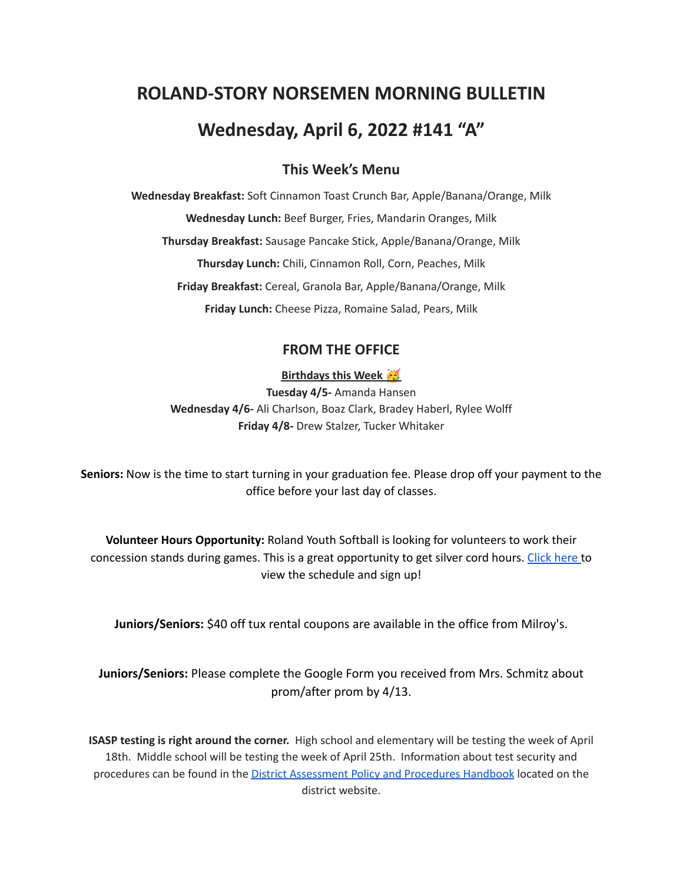# **ROLAND-STORY NORSEMEN MORNING BULLETIN Wednesday, April 6, 2022 #141 "A"**

# **This Week's Menu**

**Wednesday Breakfast:** Soft Cinnamon Toast Crunch Bar, Apple/Banana/Orange, Milk **Wednesday Lunch:** Beef Burger, Fries, Mandarin Oranges, Milk **Thursday Breakfast:** Sausage Pancake Stick, Apple/Banana/Orange, Milk **Thursday Lunch:** Chili, Cinnamon Roll, Corn, Peaches, Milk **Friday Breakfast:** Cereal, Granola Bar, Apple/Banana/Orange, Milk **Friday Lunch:** Cheese Pizza, Romaine Salad, Pears, Milk

## **FROM THE OFFICE**

## **Birthdays this Week**

**Tuesday 4/5-** Amanda Hansen **Wednesday 4/6-** Ali Charlson, Boaz Clark, Bradey Haberl, Rylee Wolff **Friday 4/8-** Drew Stalzer, Tucker Whitaker

**Seniors:** Now is the time to start turning in your graduation fee. Please drop off your payment to the office before your last day of classes.

**Volunteer Hours Opportunity:** Roland Youth Softball is looking for volunteers to work their concession stands during games. This is a great opportunity to get silver cord hours. [Click](https://www.signupgenius.com/go/70a094facac2aa0f85-roland1) here to view the schedule and sign up!

**Juniors/Seniors:** \$40 off tux rental coupons are available in the office from Milroy's.

# **Juniors/Seniors:** Please complete the Google Form you received from Mrs. Schmitz about prom/after prom by 4/13.

**ISASP testing is right around the corner.** High school and elementary will be testing the week of April 18th. Middle school will be testing the week of April 25th. Information about test security and procedures can be found in the District [Assessment](https://rolandstory.school/media/Michelle%20Soderstrum/RSCSD_District_Assessment_Poli%20-%20Copy%203.pdf) Policy and Procedures Handbook located on the district website.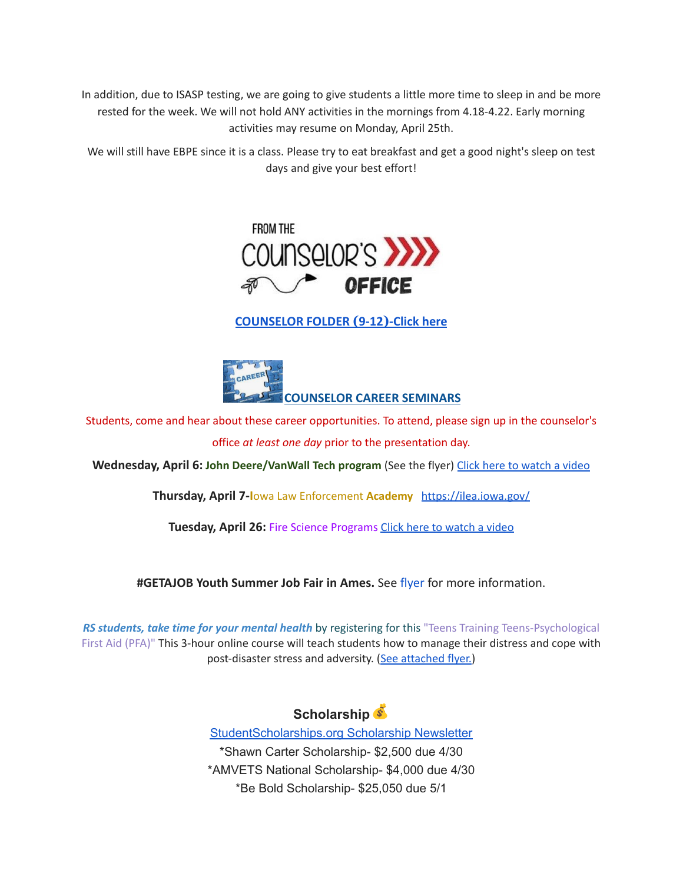In addition, due to ISASP testing, we are going to give students a little more time to sleep in and be more rested for the week. We will not hold ANY activities in the mornings from 4.18-4.22. Early morning activities may resume on Monday, April 25th.

We will still have EBPE since it is a class. Please try to eat breakfast and get a good night's sleep on test days and give your best effort!



**[COUNSELOR FOLDER](https://docs.google.com/document/d/1vmwczNPbDzXe9vFaG5LJMQ7NYDv-i4oQJHybqA65TUc/edit?usp=sharing) (9-12)-Click here**



Students, come and hear about these career opportunities. To attend, please sign up in the counselor's office *at least one day* prior to the presentation day.

**Wednesday, April 6: John Deere/VanWall Tech program** (See the flyer) Click here to [watch](https://www.youtube.com/watch?v=h0zPXGK_n_c) a video

**Thursday, April 7-I**owa Law Enforcement **Academy** <https://ilea.iowa.gov/>

**Tuesday, April 26:** Fire Science Programs Click here to [watch](https://www.youtube.com/watch?v=xBXR6h_2eWg) a video

**#GETAJOB Youth Summer Job Fair in Ames.** See [flyer](https://drive.google.com/file/d/19PRxPHgJE0Wyssa45Q2YrSued6K3SDaH/view?usp=sharing) for more information.

*RS students, take time for your mental health* by registering for this "Teens Training Teens-Psychological First Aid (PFA)" This 3-hour online course will teach students how to manage their distress and cope with post-disaster stress and adversity. (See [attached](https://drive.google.com/file/d/18ZxsDgb9mTVccDP5AD1ejwqoEi1MNUwE/view?usp=sharing) flyer.)



[StudentScholarships.org](https://mail.google.com/mail/u/0/#inbox/FMfcgzGmvnxHNJmNqQFMvMXGZjCFpNPB?projector=1&messagePartId=0.1) Scholarship Newsletter \*Shawn Carter Scholarship- \$2,500 due 4/30 \*AMVETS National Scholarship- \$4,000 due 4/30 \*Be Bold Scholarship- \$25,050 due 5/1